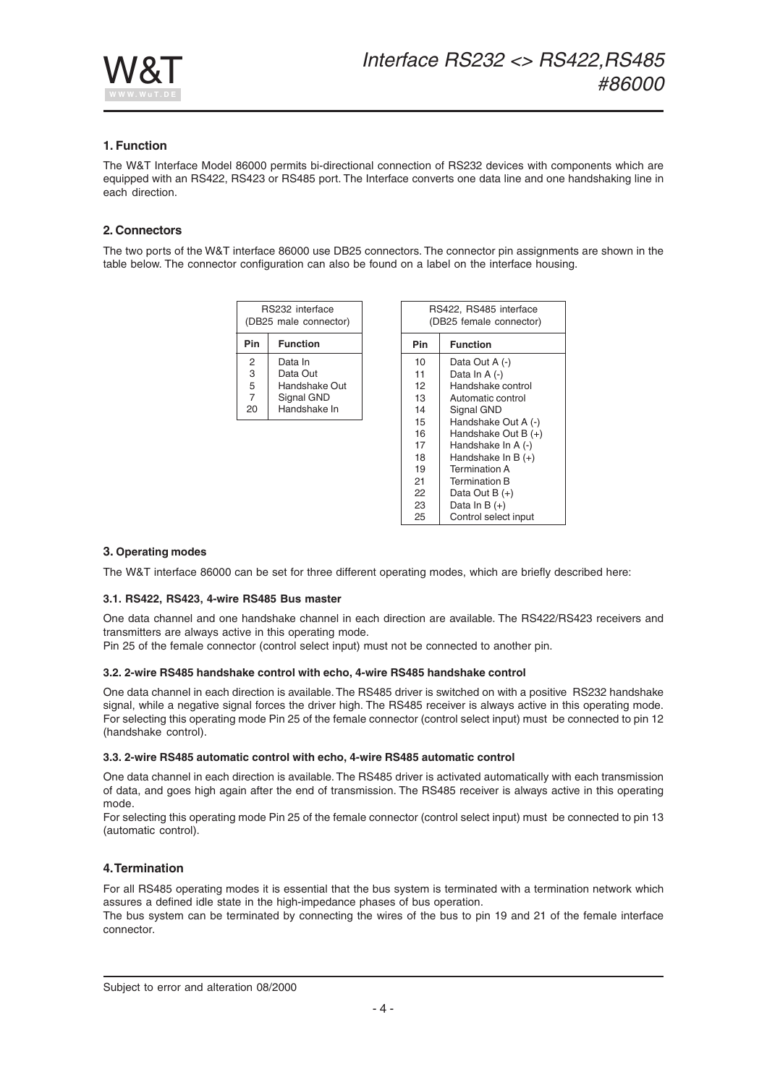

## **1. Function**

The W&T Interface Model 86000 permits bi-directional connection of RS232 devices with components which are equipped with an RS422, RS423 or RS485 port. The Interface converts one data line and one handshaking line in each direction.

### **2. Connectors**

The two ports of the W&T interface 86000 use DB25 connectors. The connector pin assignments are shown in the table below. The connector configuration can also be found on a label on the interface housing.

| RS232 interface<br>(DB25 male connector) |                 |  |
|------------------------------------------|-----------------|--|
| Pin                                      | <b>Function</b> |  |
| 2                                        | Data In         |  |
| 3                                        | Data Out        |  |
| 5                                        | Handshake Out   |  |
| 7                                        | Signal GND      |  |
| 20                                       | Handshake In    |  |

| RS422, RS485 interface<br>(DB25 female connector) |                      |  |
|---------------------------------------------------|----------------------|--|
| Pin                                               | <b>Function</b>      |  |
| 10                                                | Data Out A (-)       |  |
| 11                                                | Data In A (-)        |  |
| 12                                                | Handshake control    |  |
| 13                                                | Automatic control    |  |
| 14                                                | Signal GND           |  |
| 15                                                | Handshake Out A (-)  |  |
| 16                                                | Handshake Out B (+)  |  |
| 17                                                | Handshake In A (-)   |  |
| 18                                                | Handshake In B $(+)$ |  |
| 19                                                | <b>Termination A</b> |  |
| 21                                                | <b>Termination B</b> |  |
| 22                                                | Data Out B (+)       |  |
| 23                                                | Data In B $(+)$      |  |
| 25                                                | Control select input |  |

### **3. Operating modes**

The W&T interface 86000 can be set for three different operating modes, which are briefly described here:

### **3.1. RS422, RS423, 4-wire RS485 Bus master**

One data channel and one handshake channel in each direction are available. The RS422/RS423 receivers and transmitters are always active in this operating mode.

Pin 25 of the female connector (control select input) must not be connected to another pin.

### **3.2. 2-wire RS485 handshake control with echo, 4-wire RS485 handshake control**

One data channel in each direction is available. The RS485 driver is switched on with a positive RS232 handshake signal, while a negative signal forces the driver high. The RS485 receiver is always active in this operating mode. For selecting this operating mode Pin 25 of the female connector (control select input) must be connected to pin 12 (handshake control).

#### **3.3. 2-wire RS485 automatic control with echo, 4-wire RS485 automatic control**

One data channel in each direction is available. The RS485 driver is activated automatically with each transmission of data, and goes high again after the end of transmission. The RS485 receiver is always active in this operating mode.

For selecting this operating mode Pin 25 of the female connector (control select input) must be connected to pin 13 (automatic control).

## **4. Termination**

For all RS485 operating modes it is essential that the bus system is terminated with a termination network which assures a defined idle state in the high-impedance phases of bus operation.

The bus system can be terminated by connecting the wires of the bus to pin 19 and 21 of the female interface connector.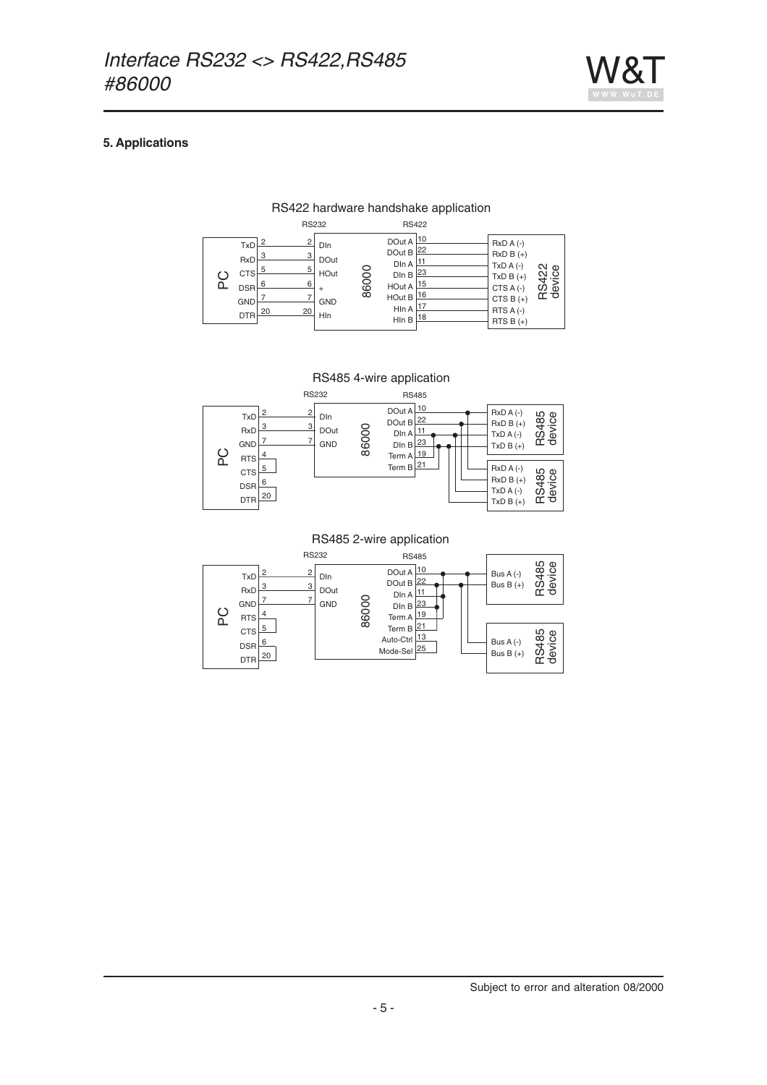

# **5. Applications**

# RS422 hardware handshake application

<sup>2</sup> 3 5 6 7 <u>20</u> <sup>2</sup>  $\overline{3}$  $\overline{5}$  $6$  $\overline{7}$ <u>20</u> TxD RxD **CTS** DSR GND DTR DIn DOut HOut  $\ddot{+}$ GND  $HIn$ DOut A 10  $\frac{22}{\text{Dln A}}$ DIn B 23 HOut A 15 HOut B  $16$ Hln A  $\frac{17}{2}$ Hln B 18 DIn A RxD A (-) RxD B (+) TxD A (-) TxD B (+)  $CTS A (-)$ CTS B $(+)$ RTS A (-) RTS B $(+)$ RS232 2 RS422 **DC** 86000 RS422<br>device

RS485 4-wire application



RS485 2-wire application